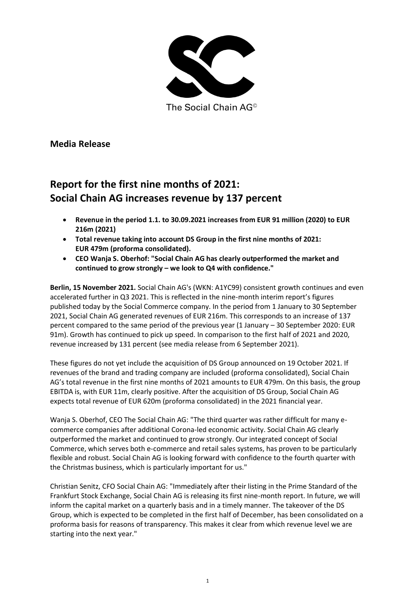

The Social Chain AG<sup>®</sup>

**Media Release**

## **Report for the first nine months of 2021: Social Chain AG increases revenue by 137 percent**

- **Revenue in the period 1.1. to 30.09.2021 increases from EUR 91 million (2020) to EUR 216m (2021)**
- **Total revenue taking into account DS Group in the first nine months of 2021: EUR 479m (proforma consolidated).**
- **CEO Wanja S. Oberhof: "Social Chain AG has clearly outperformed the market and continued to grow strongly – we look to Q4 with confidence."**

**Berlin, 15 November 2021.** Social Chain AG's (WKN: A1YC99) consistent growth continues and even accelerated further in Q3 2021. This is reflected in the nine-month interim report's figures published today by the Social Commerce company. In the period from 1 January to 30 September 2021, Social Chain AG generated revenues of EUR 216m. This corresponds to an increase of 137 percent compared to the same period of the previous year (1 January – 30 September 2020: EUR 91m). Growth has continued to pick up speed. In comparison to the first half of 2021 and 2020, revenue increased by 131 percent (see media release from 6 September 2021).

These figures do not yet include the acquisition of DS Group announced on 19 October 2021. If revenues of the brand and trading company are included (proforma consolidated), Social Chain AG's total revenue in the first nine months of 2021 amounts to EUR 479m. On this basis, the group EBITDA is, with EUR 11m, clearly positive. After the acquisition of DS Group, Social Chain AG expects total revenue of EUR 620m (proforma consolidated) in the 2021 financial year.

Wanja S. Oberhof, CEO The Social Chain AG: "The third quarter was rather difficult for many ecommerce companies after additional Corona-led economic activity. Social Chain AG clearly outperformed the market and continued to grow strongly. Our integrated concept of Social Commerce, which serves both e-commerce and retail sales systems, has proven to be particularly flexible and robust. Social Chain AG is looking forward with confidence to the fourth quarter with the Christmas business, which is particularly important for us."

Christian Senitz, CFO Social Chain AG: "Immediately after their listing in the Prime Standard of the Frankfurt Stock Exchange, Social Chain AG is releasing its first nine-month report. In future, we will inform the capital market on a quarterly basis and in a timely manner. The takeover of the DS Group, which is expected to be completed in the first half of December, has been consolidated on a proforma basis for reasons of transparency. This makes it clear from which revenue level we are starting into the next year."